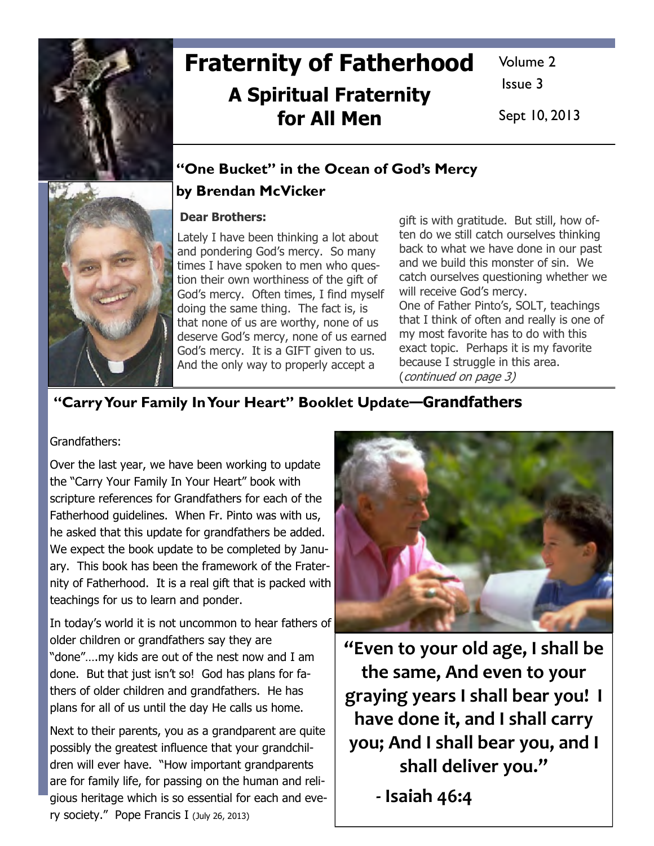

# Fraternity of Fatherhood A Spiritual Fraternity for All Men

Volume 2

Issue 3

Sept 10, 2013

## "One Bucket" in the Ocean of God's Mercy

### by Brendan McVicker

#### Dear Brothers:

Lately I have been thinking a lot about and pondering God's mercy. So many times I have spoken to men who question their own worthiness of the gift of God's mercy. Often times, I find myself doing the same thing. The fact is, is that none of us are worthy, none of us deserve God's mercy, none of us earned God's mercy. It is a GIFT given to us. And the only way to properly accept a

gift is with gratitude. But still, how often do we still catch ourselves thinking back to what we have done in our past and we build this monster of sin. We catch ourselves questioning whether we will receive God's mercy.

One of Father Pinto's, SOLT, teachings that I think of often and really is one of my most favorite has to do with this exact topic. Perhaps it is my favorite because I struggle in this area. (continued on page 3)

## "Carry Your Family In Your Heart" Booklet Update—Grandfathers

Grandfathers:

Over the last year, we have been working to update the "Carry Your Family In Your Heart" book with scripture references for Grandfathers for each of the Fatherhood guidelines. When Fr. Pinto was with us, he asked that this update for grandfathers be added. We expect the book update to be completed by January. This book has been the framework of the Fraternity of Fatherhood. It is a real gift that is packed with teachings for us to learn and ponder.

In today's world it is not uncommon to hear fathers of older children or grandfathers say they are "done"….my kids are out of the nest now and I am done. But that just isn't so! God has plans for fathers of older children and grandfathers. He has plans for all of us until the day He calls us home.

Next to their parents, you as a grandparent are quite possibly the greatest influence that your grandchildren will ever have. "How important grandparents are for family life, for passing on the human and religious heritage which is so essential for each and every society." Pope Francis I (July 26, 2013)



"Even to your old age, I shall be the same, And even to your graying years I shall bear you! I have done it, and I shall carry you; And I shall bear you, and I shall deliver you."

- Isaiah 46:4

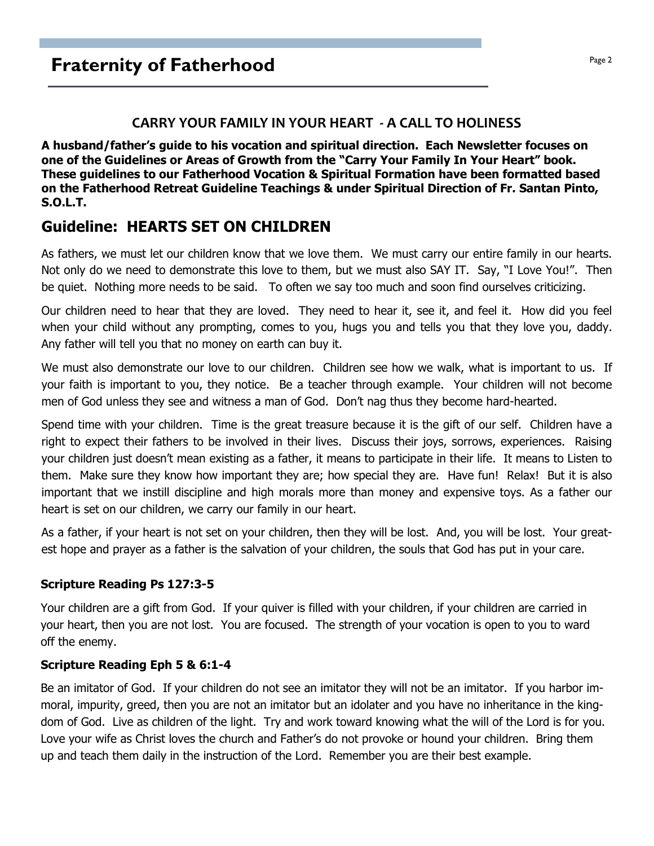#### CARRY YOUR FAMILY IN YOUR HEART - A CALL TO HOLINESS

A husband/father's guide to his vocation and spiritual direction. Each Newsletter focuses on one of the Guidelines or Areas of Growth from the "Carry Your Family In Your Heart" book. These guidelines to our Fatherhood Vocation & Spiritual Formation have been formatted based on the Fatherhood Retreat Guideline Teachings & under Spiritual Direction of Fr. Santan Pinto, S.O.L.T.

## Guideline: HEARTS SET ON CHILDREN

As fathers, we must let our children know that we love them. We must carry our entire family in our hearts. Not only do we need to demonstrate this love to them, but we must also SAY IT. Say, "I Love You!". Then be quiet. Nothing more needs to be said. To often we say too much and soon find ourselves criticizing.

Our children need to hear that they are loved. They need to hear it, see it, and feel it. How did you feel when your child without any prompting, comes to you, hugs you and tells you that they love you, daddy. Any father will tell you that no money on earth can buy it.

We must also demonstrate our love to our children. Children see how we walk, what is important to us. If your faith is important to you, they notice. Be a teacher through example. Your children will not become men of God unless they see and witness a man of God. Don't nag thus they become hard-hearted.

Spend time with your children. Time is the great treasure because it is the gift of our self. Children have a right to expect their fathers to be involved in their lives. Discuss their joys, sorrows, experiences. Raising your children just doesn't mean existing as a father, it means to participate in their life. It means to Listen to them. Make sure they know how important they are; how special they are. Have fun! Relax! But it is also important that we instill discipline and high morals more than money and expensive toys. As a father our heart is set on our children, we carry our family in our heart.

As a father, if your heart is not set on your children, then they will be lost. And, you will be lost. Your greatest hope and prayer as a father is the salvation of your children, the souls that God has put in your care.

#### Scripture Reading Ps 127:3-5

Your children are a gift from God. If your quiver is filled with your children, if your children are carried in your heart, then you are not lost. You are focused. The strength of your vocation is open to you to ward off the enemy.

#### Scripture Reading Eph 5 & 6:1-4

Be an imitator of God. If your children do not see an imitator they will not be an imitator. If you harbor immoral, impurity, greed, then you are not an imitator but an idolater and you have no inheritance in the kingdom of God. Live as children of the light. Try and work toward knowing what the will of the Lord is for you. Love your wife as Christ loves the church and Father's do not provoke or hound your children. Bring them up and teach them daily in the instruction of the Lord. Remember you are their best example.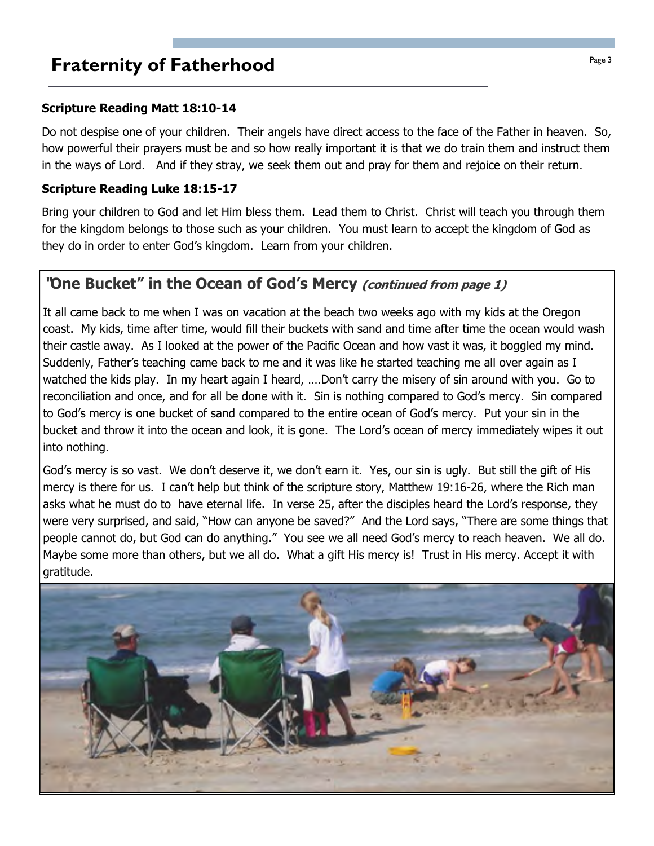## **Fraternity of Fatherhood Page 3**

#### Scripture Reading Matt 18:10-14

Do not despise one of your children. Their angels have direct access to the face of the Father in heaven. So, how powerful their prayers must be and so how really important it is that we do train them and instruct them in the ways of Lord. And if they stray, we seek them out and pray for them and rejoice on their return.

#### Scripture Reading Luke 18:15-17

Bring your children to God and let Him bless them. Lead them to Christ. Christ will teach you through them for the kingdom belongs to those such as your children. You must learn to accept the kingdom of God as they do in order to enter God's kingdom. Learn from your children.

## "One Bucket" in the Ocean of God's Mercy (continued from page 1)

It all came back to me when I was on vacation at the beach two weeks ago with my kids at the Oregon coast. My kids, time after time, would fill their buckets with sand and time after time the ocean would wash their castle away. As I looked at the power of the Pacific Ocean and how vast it was, it boggled my mind. Suddenly, Father's teaching came back to me and it was like he started teaching me all over again as I watched the kids play. In my heart again I heard, ....Don't carry the misery of sin around with you. Go to reconciliation and once, and for all be done with it. Sin is nothing compared to God's mercy. Sin compared to God's mercy is one bucket of sand compared to the entire ocean of God's mercy. Put your sin in the bucket and throw it into the ocean and look, it is gone. The Lord's ocean of mercy immediately wipes it out into nothing.

God's mercy is so vast. We don't deserve it, we don't earn it. Yes, our sin is ugly. But still the gift of His mercy is there for us. I can't help but think of the scripture story, Matthew 19:16-26, where the Rich man asks what he must do to have eternal life. In verse 25, after the disciples heard the Lord's response, they were very surprised, and said, "How can anyone be saved?" And the Lord says, "There are some things that people cannot do, but God can do anything." You see we all need God's mercy to reach heaven. We all do. Maybe some more than others, but we all do. What a gift His mercy is! Trust in His mercy. Accept it with gratitude.

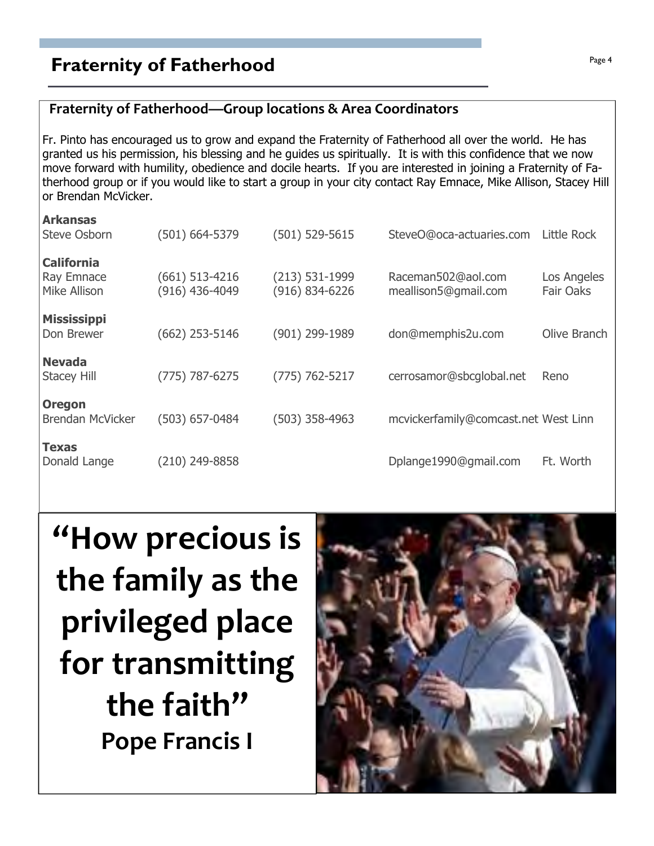# **Fraternity of Fatherhood Page 4**  $P_{\text{age 4}}$

## Fraternity of Fatherhood—Group locations & Area Coordinators

Fr. Pinto has encouraged us to grow and expand the Fraternity of Fatherhood all over the world. He has granted us his permission, his blessing and he guides us spiritually. It is with this confidence that we now move forward with humility, obedience and docile hearts. If you are interested in joining a Fraternity of Fatherhood group or if you would like to start a group in your city contact Ray Emnace, Mike Allison, Stacey Hill or Brendan McVicker.

| <b>Arkansas</b><br>Steve Osborn  | $(501) 664 - 5379$ | $(501) 529 - 5615$ | SteveO@oca-actuaries.com             | Little Rock  |
|----------------------------------|--------------------|--------------------|--------------------------------------|--------------|
|                                  |                    |                    |                                      |              |
| <b>California</b>                | $(661)$ 513-4216   | $(213) 531-1999$   | Raceman502@aol.com                   | Los Angeles  |
| Ray Emnace<br>Mike Allison       | $(916)$ 436-4049   | (916) 834-6226     | meallison5@gmail.com                 | Fair Oaks    |
|                                  |                    |                    |                                      |              |
| <b>Mississippi</b><br>Don Brewer | $(662)$ 253-5146   | (901) 299-1989     | don@memphis2u.com                    | Olive Branch |
| <b>Nevada</b>                    |                    |                    |                                      |              |
| <b>Stacey Hill</b>               | $(775) 787 - 6275$ | $(775) 762 - 5217$ | cerrosamor@sbcglobal.net             | Reno         |
| <b>Oregon</b>                    |                    |                    |                                      |              |
| <b>Brendan McVicker</b>          | $(503)$ 657-0484   | $(503)$ 358-4963   | mcvickerfamily@comcast.net West Linn |              |
| <b>Texas</b>                     |                    |                    |                                      |              |
| Donald Lange                     | (210) 249-8858     |                    | Dplange1990@gmail.com                | Ft. Worth    |
|                                  |                    |                    |                                      |              |

# "How precious is the family as the privileged place for transmitting the faith" Pope Francis I

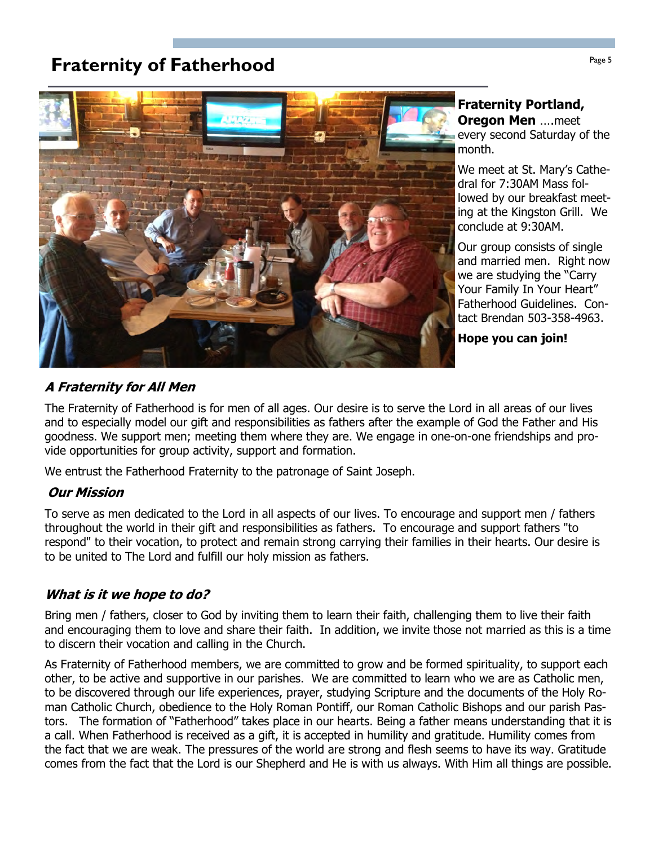# **Fraternity of Fatherhood Fraternity of Fatherhood**



#### Fraternity Portland, **Oregon Men** ....meet

every second Saturday of the month.

We meet at St. Mary's Cathedral for 7:30AM Mass followed by our breakfast meeting at the Kingston Grill. We conclude at 9:30AM.

Our group consists of single and married men. Right now we are studying the "Carry Your Family In Your Heart" Fatherhood Guidelines. Contact Brendan 503-358-4963.

Hope you can join!

## A Fraternity for All Men

The Fraternity of Fatherhood is for men of all ages. Our desire is to serve the Lord in all areas of our lives and to especially model our gift and responsibilities as fathers after the example of God the Father and His goodness. We support men; meeting them where they are. We engage in one-on-one friendships and provide opportunities for group activity, support and formation.

We entrust the Fatherhood Fraternity to the patronage of Saint Joseph.

#### Our Mission

To serve as men dedicated to the Lord in all aspects of our lives. To encourage and support men / fathers throughout the world in their gift and responsibilities as fathers. To encourage and support fathers "to respond" to their vocation, to protect and remain strong carrying their families in their hearts. Our desire is to be united to The Lord and fulfill our holy mission as fathers.

#### What is it we hope to do?

Bring men / fathers, closer to God by inviting them to learn their faith, challenging them to live their faith and encouraging them to love and share their faith. In addition, we invite those not married as this is a time to discern their vocation and calling in the Church.

As Fraternity of Fatherhood members, we are committed to grow and be formed spirituality, to support each other, to be active and supportive in our parishes. We are committed to learn who we are as Catholic men, to be discovered through our life experiences, prayer, studying Scripture and the documents of the Holy Roman Catholic Church, obedience to the Holy Roman Pontiff, our Roman Catholic Bishops and our parish Pastors. The formation of "Fatherhood" takes place in our hearts. Being a father means understanding that it is a call. When Fatherhood is received as a gift, it is accepted in humility and gratitude. Humility comes from the fact that we are weak. The pressures of the world are strong and flesh seems to have its way. Gratitude comes from the fact that the Lord is our Shepherd and He is with us always. With Him all things are possible.